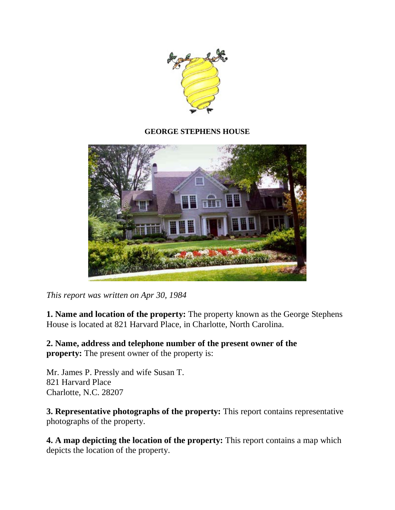

### **GEORGE STEPHENS HOUSE**



*This report was written on Apr 30, 1984*

**1. Name and location of the property:** The property known as the George Stephens House is located at 821 Harvard Place, in Charlotte, North Carolina.

**2. Name, address and telephone number of the present owner of the property:** The present owner of the property is:

Mr. James P. Pressly and wife Susan T. 821 Harvard Place Charlotte, N.C. 28207

**3. Representative photographs of the property:** This report contains representative photographs of the property.

**4. A map depicting the location of the property:** This report contains a map which depicts the location of the property.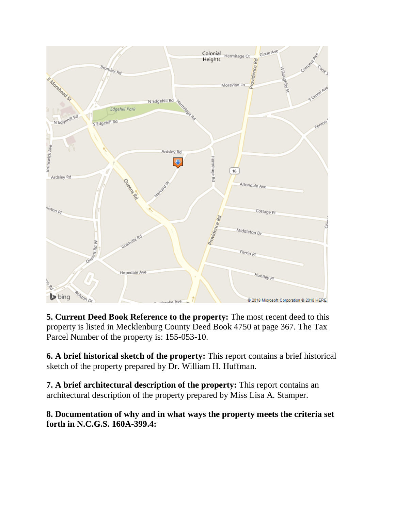

**5. Current Deed Book Reference to the property:** The most recent deed to this property is listed in Mecklenburg County Deed Book 4750 at page 367. The Tax Parcel Number of the property is: 155-053-10.

**6. A brief historical sketch of the property:** This report contains a brief historical sketch of the property prepared by Dr. William H. Huffman.

**7. A brief architectural description of the property:** This report contains an architectural description of the property prepared by Miss Lisa A. Stamper.

# **8. Documentation of why and in what ways the property meets the criteria set forth in N.C.G.S. 160A-399.4:**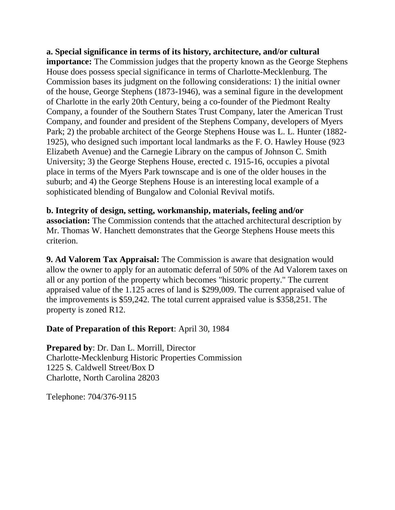**a. Special significance in terms of its history, architecture, and/or cultural importance:** The Commission judges that the property known as the George Stephens House does possess special significance in terms of Charlotte-Mecklenburg. The Commission bases its judgment on the following considerations: 1) the initial owner of the house, George Stephens (1873-1946), was a seminal figure in the development of Charlotte in the early 20th Century, being a co-founder of the Piedmont Realty Company, a founder of the Southern States Trust Company, later the American Trust Company, and founder and president of the Stephens Company, developers of Myers Park; 2) the probable architect of the George Stephens House was L. L. Hunter (1882- 1925), who designed such important local landmarks as the F. O. Hawley House (923 Elizabeth Avenue) and the Carnegie Library on the campus of Johnson C. Smith University; 3) the George Stephens House, erected c. 1915-16, occupies a pivotal place in terms of the Myers Park townscape and is one of the older houses in the suburb; and 4) the George Stephens House is an interesting local example of a sophisticated blending of Bungalow and Colonial Revival motifs.

**b. Integrity of design, setting, workmanship, materials, feeling and/or association:** The Commission contends that the attached architectural description by Mr. Thomas W. Hanchett demonstrates that the George Stephens House meets this criterion.

**9. Ad Valorem Tax Appraisal:** The Commission is aware that designation would allow the owner to apply for an automatic deferral of 50% of the Ad Valorem taxes on all or any portion of the property which becomes "historic property." The current appraised value of the 1.125 acres of land is \$299,009. The current appraised value of the improvements is \$59,242. The total current appraised value is \$358,251. The property is zoned R12.

## **Date of Preparation of this Report**: April 30, 1984

**Prepared by**: Dr. Dan L. Morrill, Director Charlotte-Mecklenburg Historic Properties Commission 1225 S. Caldwell Street/Box D Charlotte, North Carolina 28203

Telephone: 704/376-9115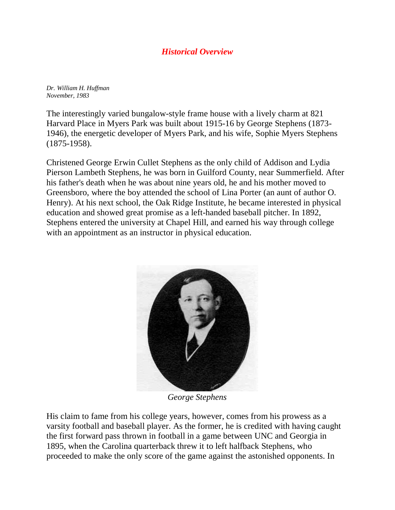## *Historical Overview*

*Dr. William H. Huffman November, 1983*

The interestingly varied bungalow-style frame house with a lively charm at 821 Harvard Place in Myers Park was built about 1915-16 by George Stephens (1873- 1946), the energetic developer of Myers Park, and his wife, Sophie Myers Stephens (1875-1958).

Christened George Erwin Cullet Stephens as the only child of Addison and Lydia Pierson Lambeth Stephens, he was born in Guilford County, near Summerfield. After his father's death when he was about nine years old, he and his mother moved to Greensboro, where the boy attended the school of Lina Porter (an aunt of author O. Henry). At his next school, the Oak Ridge Institute, he became interested in physical education and showed great promise as a left-handed baseball pitcher. In 1892, Stephens entered the university at Chapel Hill, and earned his way through college with an appointment as an instructor in physical education.



*George Stephens*

His claim to fame from his college years, however, comes from his prowess as a varsity football and baseball player. As the former, he is credited with having caught the first forward pass thrown in football in a game between UNC and Georgia in 1895, when the Carolina quarterback threw it to left halfback Stephens, who proceeded to make the only score of the game against the astonished opponents. In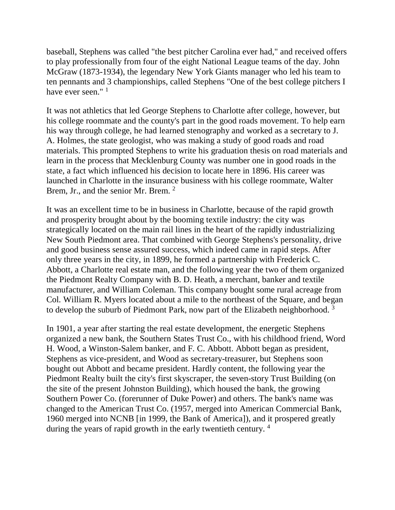baseball, Stephens was called "the best pitcher Carolina ever had," and received offers to play professionally from four of the eight National League teams of the day. John McGraw (1873-1934), the legendary New York Giants manager who led his team to ten pennants and 3 championships, called Stephens "One of the best college pitchers I have ever seen."<sup>1</sup>

It was not athletics that led George Stephens to Charlotte after college, however, but his college roommate and the county's part in the good roads movement. To help earn his way through college, he had learned stenography and worked as a secretary to J. A. Holmes, the state geologist, who was making a study of good roads and road materials. This prompted Stephens to write his graduation thesis on road materials and learn in the process that Mecklenburg County was number one in good roads in the state, a fact which influenced his decision to locate here in 1896. His career was launched in Charlotte in the insurance business with his college roommate, Walter Brem, Jr., and the senior Mr. Brem. <sup>2</sup>

It was an excellent time to be in business in Charlotte, because of the rapid growth and prosperity brought about by the booming textile industry: the city was strategically located on the main rail lines in the heart of the rapidly industrializing New South Piedmont area. That combined with George Stephens's personality, drive and good business sense assured success, which indeed came in rapid steps. After only three years in the city, in 1899, he formed a partnership with Frederick C. Abbott, a Charlotte real estate man, and the following year the two of them organized the Piedmont Realty Company with B. D. Heath, a merchant, banker and textile manufacturer, and William Coleman. This company bought some rural acreage from Col. William R. Myers located about a mile to the northeast of the Square, and began to develop the suburb of Piedmont Park, now part of the Elizabeth neighborhood.<sup>3</sup>

In 1901, a year after starting the real estate development, the energetic Stephens organized a new bank, the Southern States Trust Co., with his childhood friend, Word H. Wood, a Winston-Salem banker, and F. C. Abbott. Abbott began as president, Stephens as vice-president, and Wood as secretary-treasurer, but Stephens soon bought out Abbott and became president. Hardly content, the following year the Piedmont Realty built the city's first skyscraper, the seven-story Trust Building (on the site of the present Johnston Building), which housed the bank, the growing Southern Power Co. (forerunner of Duke Power) and others. The bank's name was changed to the American Trust Co. (1957, merged into American Commercial Bank, 1960 merged into NCNB [in 1999, the Bank of America]), and it prospered greatly during the years of rapid growth in the early twentieth century. 4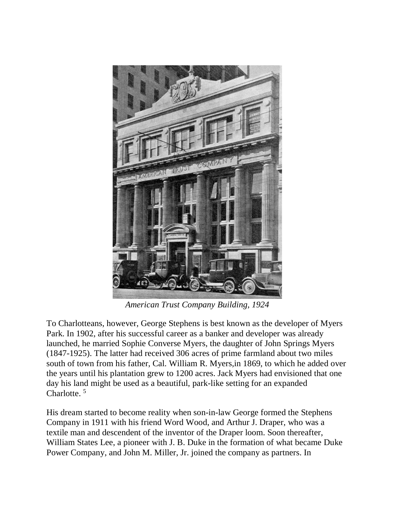

*American Trust Company Building, 1924*

To Charlotteans, however, George Stephens is best known as the developer of Myers Park. In 1902, after his successful career as a banker and developer was already launched, he married Sophie Converse Myers, the daughter of John Springs Myers (1847-1925). The latter had received 306 acres of prime farmland about two miles south of town from his father, Cal. William R. Myers,in 1869, to which he added over the years until his plantation grew to 1200 acres. Jack Myers had envisioned that one day his land might be used as a beautiful, park-like setting for an expanded Charlotte.<sup>5</sup>

His dream started to become reality when son-in-law George formed the Stephens Company in 1911 with his friend Word Wood, and Arthur J. Draper, who was a textile man and descendent of the inventor of the Draper loom. Soon thereafter, William States Lee, a pioneer with J. B. Duke in the formation of what became Duke Power Company, and John M. Miller, Jr. joined the company as partners. In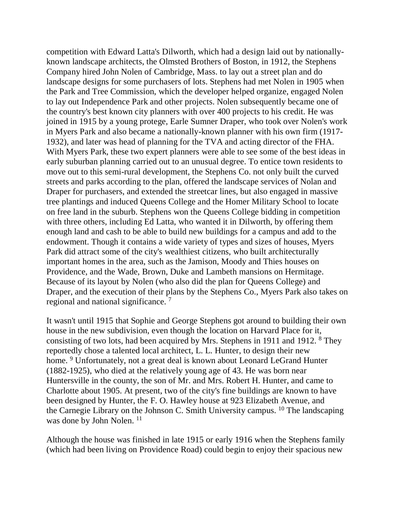competition with Edward Latta's Dilworth, which had a design laid out by nationallyknown landscape architects, the Olmsted Brothers of Boston, in 1912, the Stephens Company hired John Nolen of Cambridge, Mass. to lay out a street plan and do landscape designs for some purchasers of lots. Stephens had met Nolen in 1905 when the Park and Tree Commission, which the developer helped organize, engaged Nolen to lay out Independence Park and other projects. Nolen subsequently became one of the country's best known city planners with over 400 projects to his credit. He was joined in 1915 by a young protege, Earle Sumner Draper, who took over Nolen's work in Myers Park and also became a nationally-known planner with his own firm (1917- 1932), and later was head of planning for the TVA and acting director of the FHA. With Myers Park, these two expert planners were able to see some of the best ideas in early suburban planning carried out to an unusual degree. To entice town residents to move out to this semi-rural development, the Stephens Co. not only built the curved streets and parks according to the plan, offered the landscape services of Nolan and Draper for purchasers, and extended the streetcar lines, but also engaged in massive tree plantings and induced Queens College and the Homer Military School to locate on free land in the suburb. Stephens won the Queens College bidding in competition with three others, including Ed Latta, who wanted it in Dilworth, by offering them enough land and cash to be able to build new buildings for a campus and add to the endowment. Though it contains a wide variety of types and sizes of houses, Myers Park did attract some of the city's wealthiest citizens, who built architecturally important homes in the area, such as the Jamison, Moody and Thies houses on Providence, and the Wade, Brown, Duke and Lambeth mansions on Hermitage. Because of its layout by Nolen (who also did the plan for Queens College) and Draper, and the execution of their plans by the Stephens Co., Myers Park also takes on regional and national significance. 7

It wasn't until 1915 that Sophie and George Stephens got around to building their own house in the new subdivision, even though the location on Harvard Place for it, consisting of two lots, had been acquired by Mrs. Stephens in 1911 and 1912. 8 They reportedly chose a talented local architect, L. L. Hunter, to design their new home. <sup>9</sup> Unfortunately, not a great deal is known about Leonard LeGrand Hunter (1882-1925), who died at the relatively young age of 43. He was born near Huntersville in the county, the son of Mr. and Mrs. Robert H. Hunter, and came to Charlotte about 1905. At present, two of the city's fine buildings are known to have been designed by Hunter, the F. O. Hawley house at 923 Elizabeth Avenue, and the Carnegie Library on the Johnson C. Smith University campus. 10 The landscaping was done by John Nolen.<sup>11</sup>

Although the house was finished in late 1915 or early 1916 when the Stephens family (which had been living on Providence Road) could begin to enjoy their spacious new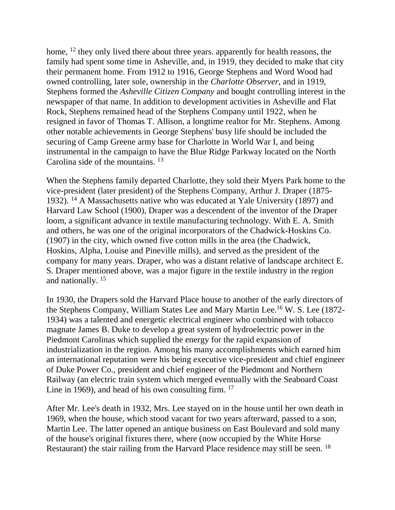home, <sup>12</sup> they only lived there about three years. apparently for health reasons, the family had spent some time in Asheville, and, in 1919, they decided to make that city their permanent home. From 1912 to 1916, George Stephens and Word Wood had owned controlling, later sole, ownership in the *Charlotte Observer*, and in 1919, Stephens formed the *Asheville Citizen Company* and bought controlling interest in the newspaper of that name. In addition to development activities in Asheville and Flat Rock, Stephens remained head of the Stephens Company until 1922, when he resigned in favor of Thomas T. Allison, a longtime realtor for Mr. Stephens. Among other notable achievements in George Stephens' busy life should be included the securing of Camp Greene army base for Charlotte in World War I, and being instrumental in the campaign to have the Blue Ridge Parkway located on the North Carolina side of the mountains. <sup>13</sup>

When the Stephens family departed Charlotte, they sold their Myers Park home to the vice-president (later president) of the Stephens Company, Arthur J. Draper (1875- 1932). 14 A Massachusetts native who was educated at Yale University (1897) and Harvard Law School (1900), Draper was a descendent of the inventor of the Draper loom, a significant advance in textile manufacturing technology. With E. A. Smith and others, he was one of the original incorporators of the Chadwick-Hoskins Co. (1907) in the city, which owned five cotton mills in the area (the Chadwick, Hoskins, Alpha, Louise and Pineville mills), and served as the president of the company for many years. Draper, who was a distant relative of landscape architect E. S. Draper mentioned above, was a major figure in the textile industry in the region and nationally. 15

In 1930, the Drapers sold the Harvard Place house to another of the early directors of the Stephens Company, William States Lee and Mary Martin Lee.16 W. S. Lee (1872- 1934) was a talented and energetic electrical engineer who combined with tobacco magnate James B. Duke to develop a great system of hydroelectric power in the Piedmont Carolinas which supplied the energy for the rapid expansion of industrialization in the region. Among his many accomplishments which earned him an international reputation were his being executive vice-president and chief engineer of Duke Power Co., president and chief engineer of the Piedmont and Northern Railway (an electric train system which merged eventually with the Seaboard Coast Line in 1969), and head of his own consulting firm. <sup>17</sup>

After Mr. Lee's death in 1932, Mrs. Lee stayed on in the house until her own death in 1969, when the house, which stood vacant for two years afterward, passed to a son, Martin Lee. The latter opened an antique business on East Boulevard and sold many of the house's original fixtures there, where (now occupied by the White Horse Restaurant) the stair railing from the Harvard Place residence may still be seen. <sup>18</sup>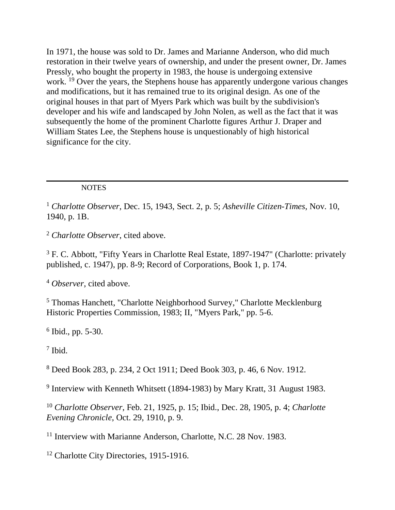In 1971, the house was sold to Dr. James and Marianne Anderson, who did much restoration in their twelve years of ownership, and under the present owner, Dr. James Pressly, who bought the property in 1983, the house is undergoing extensive work. <sup>19</sup> Over the years, the Stephens house has apparently undergone various changes and modifications, but it has remained true to its original design. As one of the original houses in that part of Myers Park which was built by the subdivision's developer and his wife and landscaped by John Nolen, as well as the fact that it was subsequently the home of the prominent Charlotte figures Arthur J. Draper and William States Lee, the Stephens house is unquestionably of high historical significance for the city.

### **NOTES**

<sup>1</sup> *Charlotte Observer*, Dec. 15, 1943, Sect. 2, p. 5; *Asheville Citizen-Times*, Nov. 10, 1940, p. 1B.

<sup>2</sup> *Charlotte Observer*, cited above.

<sup>3</sup> F. C. Abbott, "Fifty Years in Charlotte Real Estate, 1897-1947" (Charlotte: privately published, c. 1947), pp. 8-9; Record of Corporations, Book 1, p. 174.

<sup>4</sup> *Observer*, cited above.

<sup>5</sup> Thomas Hanchett, "Charlotte Neighborhood Survey," Charlotte Mecklenburg Historic Properties Commission, 1983; II, "Myers Park," pp. 5-6.

 $6$  Ibid., pp. 5-30.

<sup>7</sup> Ibid.

<sup>8</sup> Deed Book 283, p. 234, 2 Oct 1911; Deed Book 303, p. 46, 6 Nov. 1912.

<sup>9</sup> Interview with Kenneth Whitsett (1894-1983) by Mary Kratt, 31 August 1983.

<sup>10</sup> *Charlotte Observer*, Feb. 21, 1925, p. 15; Ibid., Dec. 28, 1905, p. 4; *Charlotte Evening Chronicle*, Oct. 29, 1910, p. 9.

<sup>11</sup> Interview with Marianne Anderson, Charlotte, N.C. 28 Nov. 1983.

<sup>12</sup> Charlotte City Directories, 1915-1916.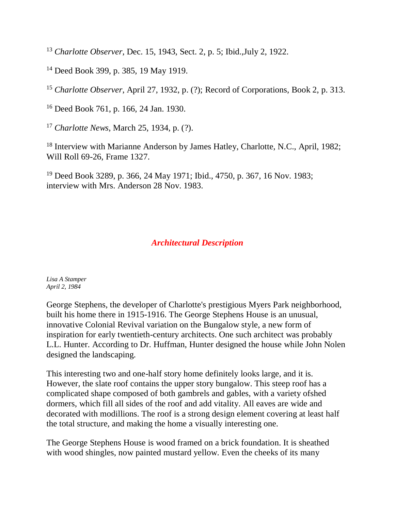<sup>13</sup> *Charlotte Observer*, Dec. 15, 1943, Sect. 2, p. 5; Ibid.,July 2, 1922.

14 Deed Book 399, p. 385, 19 May 1919.

<sup>15</sup> *Charlotte Observer*, April 27, 1932, p. (?); Record of Corporations, Book 2, p. 313.

16 Deed Book 761, p. 166, 24 Jan. 1930.

<sup>17</sup> *Charlotte News*, March 25, 1934, p. (?).

<sup>18</sup> Interview with Marianne Anderson by James Hatley, Charlotte, N.C., April, 1982; Will Roll 69-26, Frame 1327.

19 Deed Book 3289, p. 366, 24 May 1971; Ibid., 4750, p. 367, 16 Nov. 1983; interview with Mrs. Anderson 28 Nov. 1983.

## *Architectural Description*

*Lisa A Stamper April 2, 1984*

George Stephens, the developer of Charlotte's prestigious Myers Park neighborhood, built his home there in 1915-1916. The George Stephens House is an unusual, innovative Colonial Revival variation on the Bungalow style, a new form of inspiration for early twentieth-century architects. One such architect was probably L.L. Hunter. According to Dr. Huffman, Hunter designed the house while John Nolen designed the landscaping.

This interesting two and one-half story home definitely looks large, and it is. However, the slate roof contains the upper story bungalow. This steep roof has a complicated shape composed of both gambrels and gables, with a variety ofshed dormers, which fill all sides of the roof and add vitality. All eaves are wide and decorated with modillions. The roof is a strong design element covering at least half the total structure, and making the home a visually interesting one.

The George Stephens House is wood framed on a brick foundation. It is sheathed with wood shingles, now painted mustard yellow. Even the cheeks of its many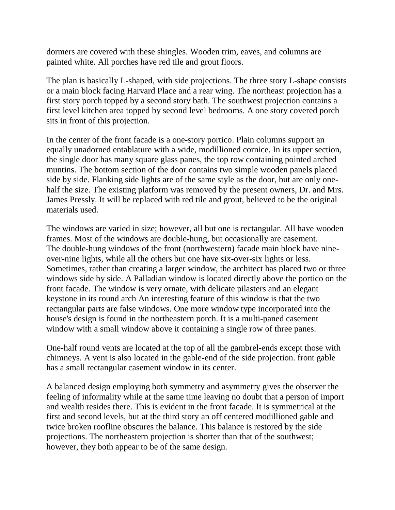dormers are covered with these shingles. Wooden trim, eaves, and columns are painted white. All porches have red tile and grout floors.

The plan is basically L-shaped, with side projections. The three story L-shape consists or a main block facing Harvard Place and a rear wing. The northeast projection has a first story porch topped by a second story bath. The southwest projection contains a first level kitchen area topped by second level bedrooms. A one story covered porch sits in front of this projection.

In the center of the front facade is a one-story portico. Plain columns support an equally unadorned entablature with a wide, modillioned cornice. In its upper section, the single door has many square glass panes, the top row containing pointed arched muntins. The bottom section of the door contains two simple wooden panels placed side by side. Flanking side lights are of the same style as the door, but are only onehalf the size. The existing platform was removed by the present owners, Dr. and Mrs. James Pressly. It will be replaced with red tile and grout, believed to be the original materials used.

The windows are varied in size; however, all but one is rectangular. All have wooden frames. Most of the windows are double-hung, but occasionally are casement. The double-hung windows of the front (northwestern) facade main block have nineover-nine lights, while all the others but one have six-over-six lights or less. Sometimes, rather than creating a larger window, the architect has placed two or three windows side by side. A Palladian window is located directly above the portico on the front facade. The window is very ornate, with delicate pilasters and an elegant keystone in its round arch An interesting feature of this window is that the two rectangular parts are false windows. One more window type incorporated into the house's design is found in the northeastern porch. It is a multi-paned casement window with a small window above it containing a single row of three panes.

One-half round vents are located at the top of all the gambrel-ends except those with chimneys. A vent is also located in the gable-end of the side projection. front gable has a small rectangular casement window in its center.

A balanced design employing both symmetry and asymmetry gives the observer the feeling of informality while at the same time leaving no doubt that a person of import and wealth resides there. This is evident in the front facade. It is symmetrical at the first and second levels, but at the third story an off centered modillioned gable and twice broken roofline obscures the balance. This balance is restored by the side projections. The northeastern projection is shorter than that of the southwest; however, they both appear to be of the same design.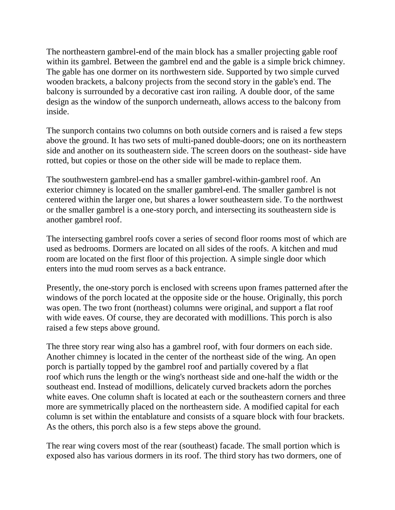The northeastern gambrel-end of the main block has a smaller projecting gable roof within its gambrel. Between the gambrel end and the gable is a simple brick chimney. The gable has one dormer on its northwestern side. Supported by two simple curved wooden brackets, a balcony projects from the second story in the gable's end. The balcony is surrounded by a decorative cast iron railing. A double door, of the same design as the window of the sunporch underneath, allows access to the balcony from inside.

The sunporch contains two columns on both outside corners and is raised a few steps above the ground. It has two sets of multi-paned double-doors; one on its northeastern side and another on its southeastern side. The screen doors on the southeast- side have rotted, but copies or those on the other side will be made to replace them.

The southwestern gambrel-end has a smaller gambrel-within-gambrel roof. An exterior chimney is located on the smaller gambrel-end. The smaller gambrel is not centered within the larger one, but shares a lower southeastern side. To the northwest or the smaller gambrel is a one-story porch, and intersecting its southeastern side is another gambrel roof.

The intersecting gambrel roofs cover a series of second floor rooms most of which are used as bedrooms. Dormers are located on all sides of the roofs. A kitchen and mud room are located on the first floor of this projection. A simple single door which enters into the mud room serves as a back entrance.

Presently, the one-story porch is enclosed with screens upon frames patterned after the windows of the porch located at the opposite side or the house. Originally, this porch was open. The two front (northeast) columns were original, and support a flat roof with wide eaves. Of course, they are decorated with modillions. This porch is also raised a few steps above ground.

The three story rear wing also has a gambrel roof, with four dormers on each side. Another chimney is located in the center of the northeast side of the wing. An open porch is partially topped by the gambrel roof and partially covered by a flat roof which runs the length or the wing's northeast side and one-half the width or the southeast end. Instead of modillions, delicately curved brackets adorn the porches white eaves. One column shaft is located at each or the southeastern corners and three more are symmetrically placed on the northeastern side. A modified capital for each column is set within the entablature and consists of a square block with four brackets. As the others, this porch also is a few steps above the ground.

The rear wing covers most of the rear (southeast) facade. The small portion which is exposed also has various dormers in its roof. The third story has two dormers, one of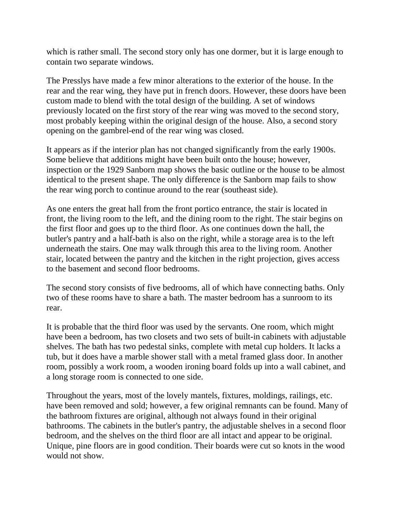which is rather small. The second story only has one dormer, but it is large enough to contain two separate windows.

The Presslys have made a few minor alterations to the exterior of the house. In the rear and the rear wing, they have put in french doors. However, these doors have been custom made to blend with the total design of the building. A set of windows previously located on the first story of the rear wing was moved to the second story, most probably keeping within the original design of the house. Also, a second story opening on the gambrel-end of the rear wing was closed.

It appears as if the interior plan has not changed significantly from the early 1900s. Some believe that additions might have been built onto the house; however, inspection or the 1929 Sanborn map shows the basic outline or the house to be almost identical to the present shape. The only difference is the Sanborn map fails to show the rear wing porch to continue around to the rear (southeast side).

As one enters the great hall from the front portico entrance, the stair is located in front, the living room to the left, and the dining room to the right. The stair begins on the first floor and goes up to the third floor. As one continues down the hall, the butler's pantry and a half-bath is also on the right, while a storage area is to the left underneath the stairs. One may walk through this area to the living room. Another stair, located between the pantry and the kitchen in the right projection, gives access to the basement and second floor bedrooms.

The second story consists of five bedrooms, all of which have connecting baths. Only two of these rooms have to share a bath. The master bedroom has a sunroom to its rear.

It is probable that the third floor was used by the servants. One room, which might have been a bedroom, has two closets and two sets of built-in cabinets with adjustable shelves. The bath has two pedestal sinks, complete with metal cup holders. It lacks a tub, but it does have a marble shower stall with a metal framed glass door. In another room, possibly a work room, a wooden ironing board folds up into a wall cabinet, and a long storage room is connected to one side.

Throughout the years, most of the lovely mantels, fixtures, moldings, railings, etc. have been removed and sold; however, a few original remnants can be found. Many of the bathroom fixtures are original, although not always found in their original bathrooms. The cabinets in the butler's pantry, the adjustable shelves in a second floor bedroom, and the shelves on the third floor are all intact and appear to be original. Unique, pine floors are in good condition. Their boards were cut so knots in the wood would not show.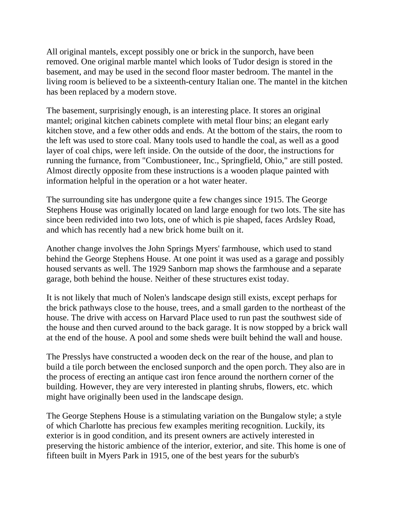All original mantels, except possibly one or brick in the sunporch, have been removed. One original marble mantel which looks of Tudor design is stored in the basement, and may be used in the second floor master bedroom. The mantel in the living room is believed to be a sixteenth-century Italian one. The mantel in the kitchen has been replaced by a modern stove.

The basement, surprisingly enough, is an interesting place. It stores an original mantel; original kitchen cabinets complete with metal flour bins; an elegant early kitchen stove, and a few other odds and ends. At the bottom of the stairs, the room to the left was used to store coal. Many tools used to handle the coal, as well as a good layer of coal chips, were left inside. On the outside of the door, the instructions for running the furnance, from "Combustioneer, Inc., Springfield, Ohio," are still posted. Almost directly opposite from these instructions is a wooden plaque painted with information helpful in the operation or a hot water heater.

The surrounding site has undergone quite a few changes since 1915. The George Stephens House was originally located on land large enough for two lots. The site has since been redivided into two lots, one of which is pie shaped, faces Ardsley Road, and which has recently had a new brick home built on it.

Another change involves the John Springs Myers' farmhouse, which used to stand behind the George Stephens House. At one point it was used as a garage and possibly housed servants as well. The 1929 Sanborn map shows the farmhouse and a separate garage, both behind the house. Neither of these structures exist today.

It is not likely that much of Nolen's landscape design still exists, except perhaps for the brick pathways close to the house, trees, and a small garden to the northeast of the house. The drive with access on Harvard Place used to run past the southwest side of the house and then curved around to the back garage. It is now stopped by a brick wall at the end of the house. A pool and some sheds were built behind the wall and house.

The Presslys have constructed a wooden deck on the rear of the house, and plan to build a tile porch between the enclosed sunporch and the open porch. They also are in the process of erecting an antique cast iron fence around the northern corner of the building. However, they are very interested in planting shrubs, flowers, etc. which might have originally been used in the landscape design.

The George Stephens House is a stimulating variation on the Bungalow style; a style of which Charlotte has precious few examples meriting recognition. Luckily, its exterior is in good condition, and its present owners are actively interested in preserving the historic ambience of the interior, exterior, and site. This home is one of fifteen built in Myers Park in 1915, one of the best years for the suburb's